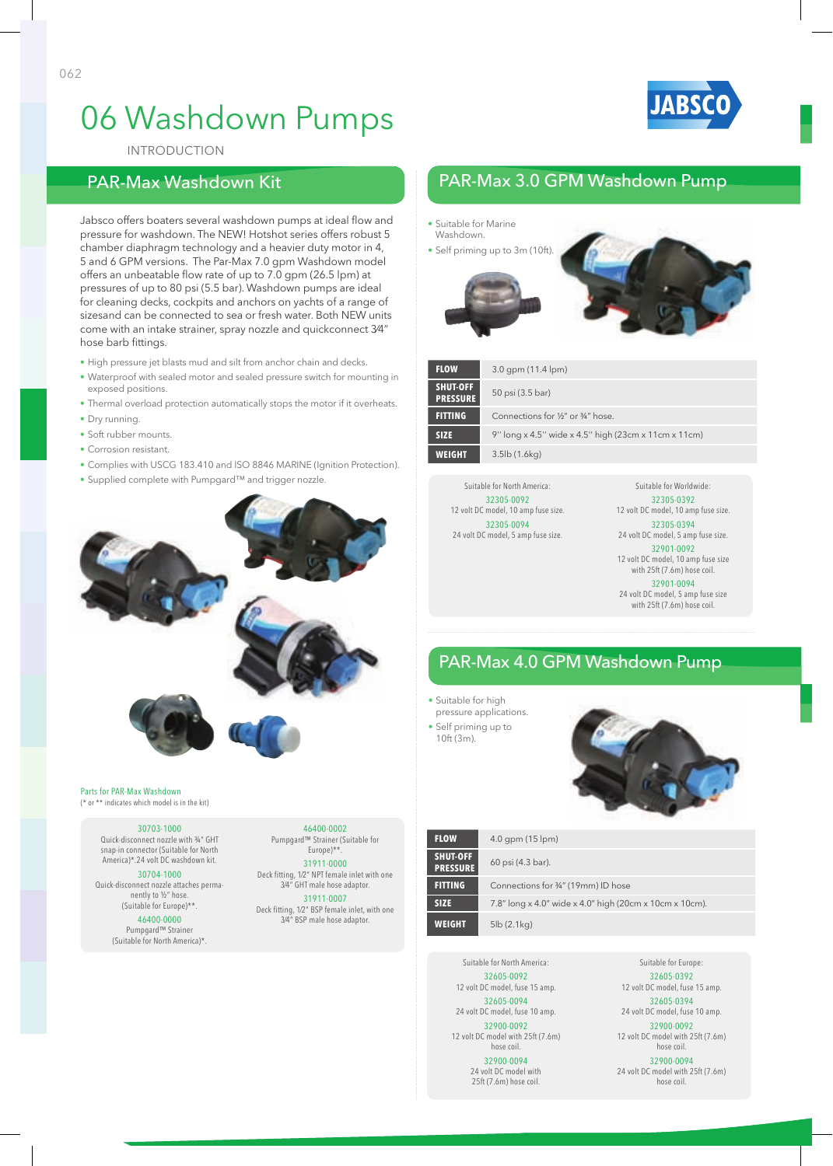



InTRODuCTIOn

### PAR-Max Washdown Kit

Jabsco offers boaters several washdown pumps at ideal flow and pressure for washdown. The nEW! Hotshot series offers robust 5 chamber diaphragm technology and a heavier duty motor in 4, 5 and 6 gPM versions. The Par-Max 7.0 gpm Washdown model offers an unbeatable flow rate of up to 7.0 gpm (26.5 lpm) at pressures of up to 80 psi (5.5 bar). Washdown pumps are ideal for cleaning decks, cockpits and anchors on yachts of a range of sizesand can be connected to sea or fresh water. Both nEW units come with an intake strainer, spray nozzle and quickconnect 3⁄4" hose barb fittings.

- High pressure jet blasts mud and silt from anchor chain and decks.
- Waterproof with sealed motor and sealed pressure switch for mounting in exposed positions.
- Thermal overload protection automatically stops the motor if it overheats.
- Dry running.
- Soft rubber mounts.
- Corrosion resistant.
- Complies with USCG 183.410 and ISO 8846 MARINE (Ignition Protection).
- Supplied complete with Pumpgard™ and trigger nozzle.



#### Parts for PAR-Max Washdown (\* or \*\* indicates which model is in the kit)

30703-1000 Quick-disconnect nozzle with ¾" GHT

snap-in connector (Suitable for North America)\*.24 volt DC washdown kit.

30704-1000 Quick-disconnect nozzle attaches permanently to ½" hose.

(Suitable for Europe)\*\*. 46400-0000 Pumpgard™ Strainer (Suitable for North America)\*.

#### 46400-0002

Pumpgard™ Strainer (Suitable for Europe)\*\*. 31911-0000 Deck fitting, 1⁄2" NPT female inlet with one 3⁄4" GHT male hose adaptor. 31911-0007

Deck fitting, 1⁄2" BSP female inlet, with one 3⁄4" BSP male hose adaptor.

## PAR-Max 3.0 GPM Washdown Pump

• Suitable for Marine Washdown. • Self priming up to 3m (10ft). **FLOW** 3.0 gpm (11.4 lpm) **SHUT-OFF PRESSURE** 50 psi (3.5 bar) **FITTING** Connections for <sup>1</sup>/<sub>2</sub>" or <sup>3</sup>/4" hose **SIZE** 9'' long x 4.5'' wide x 4.5'' high (23cm x 11cm x 11cm)

Suitable for North America: 32305-0092 12 volt DC model, 10 amp fuse size. 32305-0094 24 volt DC model, 5 amp fuse size.

**WEIGHT** 3.5lb (1.6kg)

Suitable for Worldwide: 32305-0392

12 volt DC model, 10 amp fuse size. 32305-0394

24 volt DC model, 5 amp fuse size. 32901-0092

12 volt DC model, 10 amp fuse size with 25ft (7.6m) hose coil. 32901-0094

24 volt DC model, 5 amp fuse size with 25ft (7.6m) hose coil.

## PAR-Max 4.0 GPM Washdown Pump

- Suitable for high
- pressure applications.
- Self priming up to 10ft (3m).



| <b>FLOW</b>                 | $4.0$ gpm (15 lpm)                                      |
|-----------------------------|---------------------------------------------------------|
| SHUT-OFF<br><b>PRESSURE</b> | 60 psi (4.3 bar).                                       |
| <b>FITTING</b>              | Connections for 3/4" (19mm) ID hose                     |
| <b>SIZE</b>                 | 7.8" long x 4.0" wide x 4.0" high (20cm x 10cm x 10cm). |
| <b>WEIGHT</b>               | 5lb(2.1kq)                                              |

Suitable for North America: 32605-0092 12 volt DC model, fuse 15 amp. 32605-0094 24 volt DC model, fuse 10 amp. 32900-0092 12 volt DC model with 25ft (7.6m) hose coil. 32900-0094 24 volt DC model with 25ft (7.6m) hose coil.

Suitable for Europe: 32605-0392 12 volt DC model, fuse 15 amp. 32605-0394 24 volt DC model, fuse 10 amp. 32900-0092 12 volt DC model with 25ft (7.6m) hose coil. 32900-0094 24 volt DC model with 25ft (7.6m) hose coil.